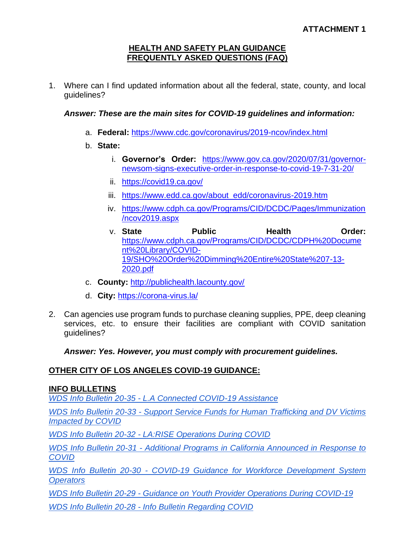#### **HEALTH AND SAFETY PLAN GUIDANCE FREQUENTLY ASKED QUESTIONS (FAQ)**

1. Where can I find updated information about all the federal, state, county, and local guidelines?

## *Answer: These are the main sites for COVID-19 guidelines and information:*

- a. **Federal:** <https://www.cdc.gov/coronavirus/2019-ncov/index.html>
- b. **State:**
	- i. **Governor's Order:** [https://www.gov.ca.gov/2020/07/31/governor](https://www.gov.ca.gov/2020/07/31/governor-newsom-signs-executive-order-in-response-to-covid-19-7-31-20/)[newsom-signs-executive-order-in-response-to-covid-19-7-31-20/](https://www.gov.ca.gov/2020/07/31/governor-newsom-signs-executive-order-in-response-to-covid-19-7-31-20/)
	- ii. <https://covid19.ca.gov/>
	- iii. [https://www.edd.ca.gov/about\\_edd/coronavirus-2019.htm](https://www.edd.ca.gov/about_edd/coronavirus-2019.htm)
	- iv. [https://www.cdph.ca.gov/Programs/CID/DCDC/Pages/Immunization](https://www.cdph.ca.gov/Programs/CID/DCDC/Pages/Immunization/ncov2019.aspx) [/ncov2019.aspx](https://www.cdph.ca.gov/Programs/CID/DCDC/Pages/Immunization/ncov2019.aspx)
	- v. **State Public Health Order:**  [https://www.cdph.ca.gov/Programs/CID/DCDC/CDPH%20Docume](https://www.cdph.ca.gov/Programs/CID/DCDC/CDPH%20Document%20Library/COVID-19/SHO%20Order%20Dimming%20Entire%20State%207-13-2020.pdf) [nt%20Library/COVID-](https://www.cdph.ca.gov/Programs/CID/DCDC/CDPH%20Document%20Library/COVID-19/SHO%20Order%20Dimming%20Entire%20State%207-13-2020.pdf)[19/SHO%20Order%20Dimming%20Entire%20State%207-13-](https://www.cdph.ca.gov/Programs/CID/DCDC/CDPH%20Document%20Library/COVID-19/SHO%20Order%20Dimming%20Entire%20State%207-13-2020.pdf) [2020.pdf](https://www.cdph.ca.gov/Programs/CID/DCDC/CDPH%20Document%20Library/COVID-19/SHO%20Order%20Dimming%20Entire%20State%207-13-2020.pdf)
- c. **County:** <http://publichealth.lacounty.gov/>
- d. **City:** <https://corona-virus.la/>
- 2. Can agencies use program funds to purchase cleaning supplies, PPE, deep cleaning services, etc. to ensure their facilities are compliant with COVID sanitation guidelines?

*Answer: Yes. However, you must comply with procurement guidelines.* 

## **OTHER CITY OF LOS ANGELES COVID-19 GUIDANCE:**

### **INFO BULLETINS**

*WDS Info Bulletin 20-35 - [L.A Connected COVID-19 Assistance](https://ewddlacity.com/images/directives/wds-bulletin/WDS_Bul_20-35.pdf)*

*[WDS Info Bulletin 20-](https://ewddlacity.com/images/directives/wds-bulletin/WDS_Bul_20-33.pdf)33 - [Support Service Funds for Human Trafficking and DV Victims](https://ewddlacity.com/images/directives/wds-bulletin/WDS_Bul_20-33.pdf)  [Impacted by COVID](https://ewddlacity.com/images/directives/wds-bulletin/WDS_Bul_20-33.pdf)*

*[WDS Info Bulletin 20-](https://ewddlacity.com/images/directives/wds-bulletin/WDS_Bul_20-32.pdf)32 - [LA:RISE Operations During COVID](https://ewddlacity.com/images/directives/wds-bulletin/WDS_Bul_20-32.pdf)*

*WDS [Info Bulletin 20-](https://ewddlacity.com/images/directives/wds-bulletin/WDS_Bul_20-31.pdf)31 - [Additional Programs in California Announced in Response to](https://ewddlacity.com/images/directives/wds-bulletin/WDS_Bul_20-31.pdf)  [COVID](https://ewddlacity.com/images/directives/wds-bulletin/WDS_Bul_20-31.pdf)*

*[WDS Info Bulletin 20-](https://ewddlacity.com/images/directives/wds-bulletin/WDS_Bul_20-30.pdf)30 - [COVID-19 Guidance for Workforce Development System](https://ewddlacity.com/images/directives/wds-bulletin/WDS_Bul_20-30.pdf)  [Operators](https://ewddlacity.com/images/directives/wds-bulletin/WDS_Bul_20-30.pdf)*

*[WDS Info Bulletin 20-](https://ewddlacity.com/images/directives/wds-bulletin/WDS_Bul_20-29.pdf)29 - [Guidance on Youth Provider Operations During COVID-19](https://ewddlacity.com/images/directives/wds-bulletin/WDS_Bul_20-29.pdf)*

*[WDS Info Bulletin 20-2](https://ewddlacity.com/images/directives/wds-bulletin/WDS_Bul_20-28.pdf)8 - [Info Bulletin Regarding COVID](https://ewddlacity.com/images/directives/wds-bulletin/WDS_Bul_20-28.pdf)*